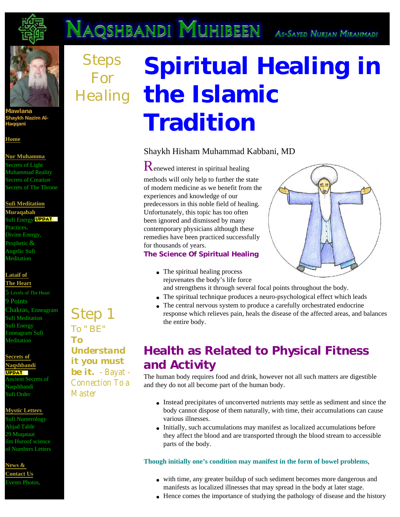

**Mawlana Shaykh Nazim Al-Haqqani** 

**[Home](http://www.nurmuhammad.com/index.html)**

#### **[Nur Muhamma](http://nurmuhammad.com/NurNabi/SecretsofNurMuhammad.html)**

Secrets of Light Muhammad Reality Secrets of Creation Secrets of The Throne

#### **[Sufi](http://www.nurmuhammad.com/Meditation/Mainmeditationmuraqabah.htm) [Meditation](http://nurmuhammad.com/Meditation/Mainmeditationmuraqabah.htm)**

**Muraqabah**  Sufi Energy **UPDAT** Practices, Divine Energy, Prophetic  $\&$ Angelic Sufi Meditation

### **[Lataif of](http://nurmuhammad.com/HeartLevels/coverLataif5levelsofheart.htm)**

**[The Heart](http://www.nurmuhammad.com/HeartLevels/coverLataif5levelsofheart.htm)** 

Levels of The Heart 9 Points Chakras, Enneagram Sufi Meditation Sufi Energy Enneagram Sufi Meditation

**[Secrets of](http://www.nurmuhammad.com/NaqshbandiSecrets/mainNaqshbandiSecrets.html) [Naqshbandi](http://www.nurmuhammad.com/NaqshbandiSecrets/mainNaqshbandiSecrets.html) UPPAT** Ancient Secrets of Naqshbandi Sufi Order

#### **[Mystic Letters](http://www.nurmuhammad.com/IlmHuroof/IlmHuroofArticles/welcometothescienceofhuroof.htm)**

Sufi Numerology Abjad Table 29 Muqataat ilm Huroof science of Numbers Letters

**[News &](http://www.nurmuhammad.com/NewsEvents/nurmuhammadnaqshbandinews.html) [Contact Us](http://www.nurmuhammad.com/NewsEvents/nurmuhammadnaqshbandinews.html)** Events Photos,

## *Step 1 To " BE" To it you must*

## *Steps For Healing* **the Islamic Spiritual Healing in Tradition**

### Shaykh Hisham Muhammad Kabbani, MD

Renewed interest in spiritual healing methods will only help to further the state of modern medicine as we benefit from the experiences and knowledge of our predecessors in this noble field of healing. Unfortunately, this topic has too often been ignored and dismissed by many contemporary physicians although these remedies have been practiced successfully for thousands of years.

#### **The Science Of Spiritual Healing**

- The spiritual healing process rejuvenates the body's life force and strengthens it through several focal points throughout the body.
- The spiritual technique produces a neuro-psychological effect which leads
- The central nervous system to produce a carefully orchestrated endocrine response which relieves pain, heals the disease of the affected areas, and balances the entire body.

## **Health as Related to Physical Fitness and Activity**

The human body requires food and drink, however not all such matters are digestible and they do not all become part of the human body.

- Instead precipitates of unconverted nutrients may settle as sediment and since the body cannot dispose of them naturally, with time, their accumulations can cause various illnesses.
- Initially, such accumulations may manifest as localized accumulations before they affect the blood and are transported through the blood stream to accessible parts of the body.

#### **Though initially one's condition may manifest in the form of bowel problems**,

- with time, any greater buildup of such sediment becomes more dangerous and manifests as localized illnesses that may spread in the body at later stage.
- Hence comes the importance of studying the pathology of disease and the history

*Understand be it. - Bayat - Connection To a Master*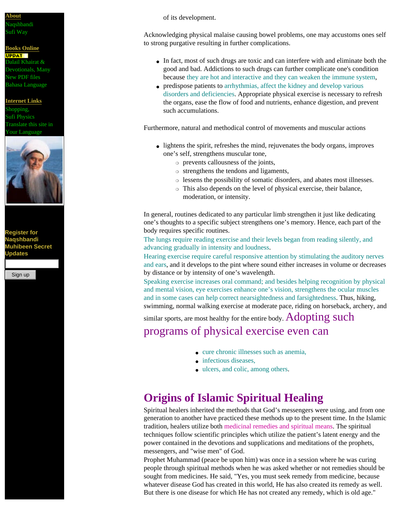#### **[About](http://www.nurmuhammad.com/NewsEvents/aboutnurmuhammad.html)**

#### Naqshbandi Sufi Way

## **[Books Online](http://www.nurmuhammad.com/Dwnlds/NurMuhammadDownloads.html)**

Dalail Khairat & Devotionals, Many New PDF files Bahasa Language

# Shopping,



**Register for Naqshbandi Muhibeen Secret Updates** 



**UPPAT** 

**[Internet Links](http://www.nurmuhammad.com/NewsEvents/links.html)**

Sufi Physics Translate this site in **Vour Language** 



of its development.

Acknowledging physical malaise causing bowel problems, one may accustoms ones self to strong purgative resulting in further complications.

- In fact, most of such drugs are toxic and can interfere with and eliminate both the good and bad. Addictions to such drugs can further complicate one's condition because they are hot and interactive and they can weaken the immune system,
- predispose patients to arrhythmias, affect the kidney and develop various disorders and deficiencies. Appropriate physical exercise is necessary to refresh the organs, ease the flow of food and nutrients, enhance digestion, and prevent such accumulations.

Furthermore, natural and methodical control of movements and muscular actions

- lightens the spirit, refreshes the mind, rejuvenates the body organs, improves one's self, strengthens muscular tone,
	- ❍ prevents callousness of the joints,
	- ❍ strengthens the tendons and ligaments,
	- ❍ lessens the possibility of somatic disorders, and abates most illnesses.
	- ❍ This also depends on the level of physical exercise, their balance, moderation, or intensity.

In general, routines dedicated to any particular limb strengthen it just like dedicating one's thoughts to a specific subject strengthens one's memory. Hence, each part of the body requires specific routines.

The lungs require reading exercise and their levels began from reading silently, and advancing gradually in intensity and loudness.

Hearing exercise require careful responsive attention by stimulating the auditory nerves and ears, and it develops to the pint where sound either increases in volume or decreases by distance or by intensity of one's wavelength.

Speaking exercise increases oral command; and besides helping recognition by physical and mental vision, eye exercises enhance one's vision, strengthens the ocular muscles and in some cases can help correct nearsightedness and farsightedness. Thus, hiking, swimming, normal walking exercise at moderate pace, riding on horseback, archery, and

similar sports, are most healthy for the entire body.  $Adopting$  such

## programs of physical exercise even can

- cure chronic illnesses such as anemia,
- infectious diseases.
- ulcers, and colic, among others.

## **Origins of Islamic Spiritual Healing**

Spiritual healers inherited the methods that God's messengers were using, and from one generation to another have practiced these methods up to the present time. In the Islamic tradition, healers utilize both medicinal remedies and spiritual means. The spiritual techniques follow scientific principles which utilize the patient's latent energy and the power contained in the devotions and supplications and meditations of the prophets, messengers, and "wise men" of God.

Prophet Muhammad (peace be upon him) was once in a session where he was curing people through spiritual methods when he was asked whether or not remedies should be sought from medicines. He said, "Yes, you must seek remedy from medicine, because whatever disease God has created in this world, He has also created its remedy as well. But there is one disease for which He has not created any remedy, which is old age."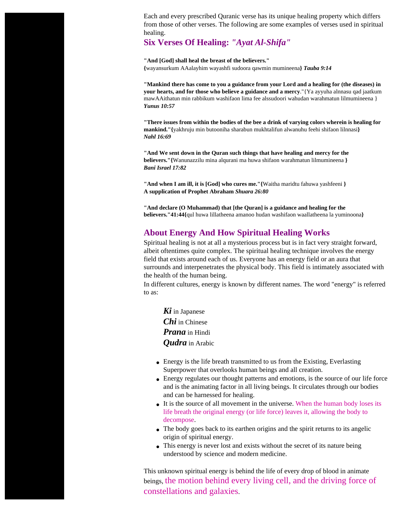Each and every prescribed Quranic verse has its unique healing property which differs from those of other verses. The following are some examples of verses used in spiritual healing.

### **Six Verses Of Healing:** *"Ayat Al-Shifa"*

**"And [God] shall heal the breast of the believers." {**wayansurkum AAalayhim wayashfi sudoora qawmin mumineena**}** *Tauba 9:14* 

**"Mankind there has come to you a guidance from your Lord and a healing for (the diseases) in your hearts, and for those who believe a guidance and a mercy**."{Ya ayyuha alnnasu qad jaatkum mawAAithatun min rabbikum washifaon lima fee alssudoori wahudan warahmatun lilmumineena } *Yunus 10:57*

**"There issues from within the bodies of the bee a drink of varying colors wherein is healing for mankind."{**yakhruju min butooniha sharabun mukhtalifun alwanuhu feehi shifaon lilnnasi**}** *Nahl 16:69*

**"And We sent down in the Quran such things that have healing and mercy for the believers."{**Wanunazzilu mina alqurani ma huwa shifaon warahmatun lilmumineena **}** *Bani Israel 17:82*

**"And when I am ill, it is [God] who cures me."{**Waitha maridtu fahuwa yashfeeni **} A supplication of Prophet Abraham** *Shuara 26:80*

**"And declare (O Muhammad) that [the Quran] is a guidance and healing for the believers."41:44{**qul huwa lillatheena amanoo hudan washifaon waallatheena la yuminoona**}**

### **About Energy And How Spiritual Healing Works**

Spiritual healing is not at all a mysterious process but is in fact very straight forward, albeit oftentimes quite complex. The spiritual healing technique involves the energy field that exists around each of us. Everyone has an energy field or an aura that surrounds and interpenetrates the physical body. This field is intimately associated with the health of the human being.

In different cultures, energy is known by different names. The word "energy" is referred to as:

*Ki* in Japanese *Chi* in Chinese *Prana* in Hindi *Qudra* in Arabic

- Energy is the life breath transmitted to us from the Existing, Everlasting Superpower that overlooks human beings and all creation.
- Energy regulates our thought patterns and emotions, is the source of our life force and is the animating factor in all living beings. It circulates through our bodies and can be harnessed for healing.
- It is the source of all movement in the universe. When the human body loses its life breath the original energy (or life force) leaves it, allowing the body to decompose.
- The body goes back to its earthen origins and the spirit returns to its angelic origin of spiritual energy.
- This energy is never lost and exists without the secret of its nature being understood by science and modern medicine.

This unknown spiritual energy is behind the life of every drop of blood in animate beings, the motion behind every living cell, and the driving force of constellations and galaxies.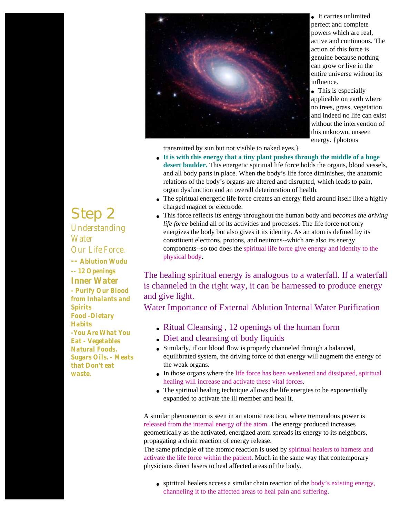

● It carries unlimited perfect and complete powers which are real, active and continuous. The action of this force is genuine because nothing can grow or live in the entire universe without its influence.

• This is especially applicable on earth where no trees, grass, vegetation and indeed no life can exist without the intervention of this unknown, unseen energy. {photons

transmitted by sun but not visible to naked eyes.}

- **It is with this energy that a tiny plant pushes through the middle of a huge desert boulder.** This energetic spiritual life force holds the organs, blood vessels, and all body parts in place. When the body's life force diminishes, the anatomic relations of the body's organs are altered and disrupted, which leads to pain, organ dysfunction and an overall deterioration of health.
- The spiritual energetic life force creates an energy field around itself like a highly charged magnet or electrode.
- This force reflects its energy throughout the human body and *becomes the driving life force* behind all of its activities and processes. The life force not only energizes the body but also gives it its identity. As an atom is defined by its constituent electrons, protons, and neutrons--which are also its energy components--so too does the spiritual life force give energy and identity to the physical body.

The healing spiritual energy is analogous to a waterfall. If a waterfall is channeled in the right way, it can be harnessed to produce energy and give light.

Water Importance of External Ablution Internal Water Purification

- Ritual Cleansing, 12 openings of the human form
- Diet and cleansing of body liquids
- Similarly, if our blood flow is properly channeled through a balanced, equilibrated system, the driving force of that energy will augment the energy of the weak organs.
- In those organs where the life force has been weakened and dissipated, spiritual healing will increase and activate these vital forces.
- The spiritual healing technique allows the life energies to be exponentially expanded to activate the ill member and heal it.

A similar phenomenon is seen in an atomic reaction, where tremendous power is released from the internal energy of the atom. The energy produced increases geometrically as the activated, energized atom spreads its energy to its neighbors, propagating a chain reaction of energy release.

The same principle of the atomic reaction is used by spiritual healers to harness and activate the life force within the patient. Much in the same way that contemporary physicians direct lasers to heal affected areas of the body,

• spiritual healers access a similar chain reaction of the body's existing energy, channeling it to the affected areas to heal pain and suffering.

## *Step 2*

*Understanding Water Our Life Force. -- Ablution Wudu -- 12 Openings Inner Water - Purify Our Blood from Inhalants and Spirits Food -Dietary Habits -You Are What You Eat - Vegetables Natural Foods. Sugars Oils. - Meats that Don't eat waste.*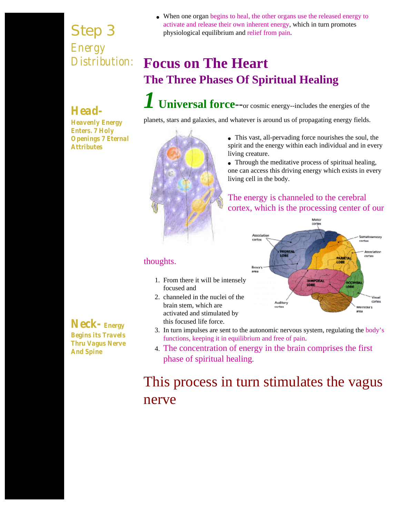*Step 3 Energy Distribution:* • When one organ begins to heal, the other organs use the released energy to activate and release their own inherent energy, which in turn promotes physiological equilibrium and relief from pain.

## **Focus on The Heart The Three Phases Of Spiritual Healing**

## *Head-*

*Heavenly Energy Enters. 7 Holy Openings 7 Eternal Attributes*

*1* **Universal force**--or cosmic energy--includes the energies of the

planets, stars and galaxies, and whatever is around us of propagating energy fields.



• This vast, all-pervading force nourishes the soul, the spirit and the energy within each individual and in every living creature.

• Through the meditative process of spiritual healing, one can access this driving energy which exists in every living cell in the body.

## The energy is channeled to the cerebral cortex, which is the processing center of our



## thoughts.

- 1. From there it will be intensely focused and
- 2. channeled in the nuclei of the brain stem, which are activated and stimulated by this focused life force.
- 3. In turn impulses are sent to the autonomic nervous system, regulating the body's functions, keeping it in equilibrium and free of pain.
- 4. The concentration of energy in the brain comprises the first phase of spiritual healing.

## This process in turn stimulates the vagus nerve

*Neck- Energy Begins its Travels Thru Vagus Nerve And Spine*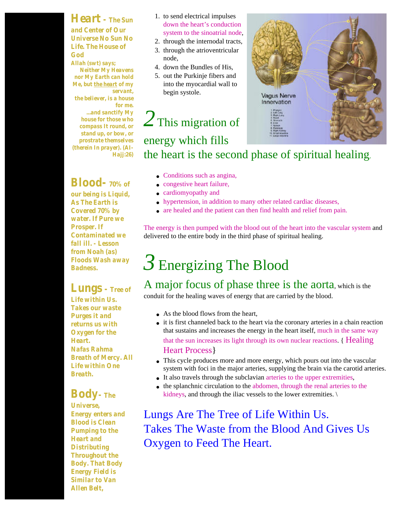## *Heart - The Sun*

*and Center of Our Universe No Sun No Life. The House of God*

*Allah (swt) says; Neither My Heavens nor My Earth can hold Me, but the heart of my servant, the believer, is a house for me. ...and sanctify My house for those who compass It round, or stand up, or bow, or prostrate themselves (therein In prayer). (AI-Hajj:26)*

## *Blood- 70% of*

*our being is Liquid, As The Earth is Covered 70% by water. If Pure we Prosper. If Contaminated we fall ill. - Lesson from Noah (as) Floods Wash away Badness.*

## *Lungs - Tree of*

*Life within Us. Takes our waste Purges it and returns us with Oxygen for the Heart. Nafas Rahma Breath of Mercy. All Life within One Breath.*

## *Body- The*

*Universe, Energy enters and Blood is Clean Pumping to the Heart and Distributing Throughout the Body. That Body Energy Field is Similar to Van Allen Belt,* 

- 1. to send electrical impulses down the heart's conduction system to the sinoatrial node,
- 2. through the internodal tracts,
- 3. through the atrioventricular node,
- 4. down the Bundles of His,
- 5. out the Purkinje fibers and into the myocardial wall to begin systole.

# 2 This migration of

## energy which fills

the heart is the second phase of spiritual healing.

- Conditions such as angina,
- congestive heart failure,
- cardiomyopathy and
- hypertension, in addition to many other related cardiac diseases,
- are healed and the patient can then find health and relief from pain.

The energy is then pumped with the blood out of the heart into the vascular system and delivered to the entire body in the third phase of spiritual healing.

## *3* Energizing The Blood

## A major focus of phase three is the aorta, which is the

conduit for the healing waves of energy that are carried by the blood.

- As the blood flows from the heart,
- it is first channeled back to the heart via the coronary arteries in a chain reaction that sustains and increases the energy in the heart itself, much in the same way that the sun increases its light through its own nuclear reactions. { Healing Heart Process}
- This cycle produces more and more energy, which pours out into the vascular system with foci in the major arteries, supplying the brain via the carotid arteries.
- It also travels through the subclavian arteries to the upper extremities,
- the splanchnic circulation to the abdomen, through the renal arteries to the kidneys, and through the iliac vessels to the lower extremities. \

Lungs Are The Tree of Life Within Us. Takes The Waste from the Blood And Gives Us Oxygen to Feed The Heart.

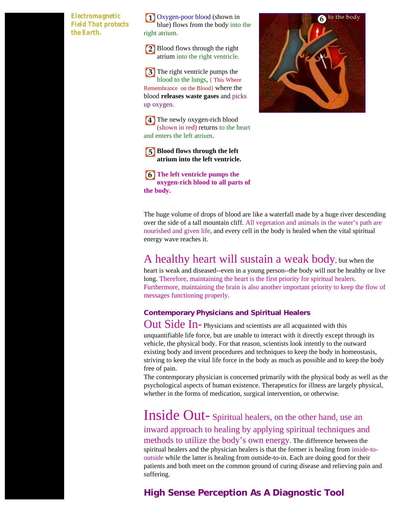#### *Electromagnetic Field That protects the Earth.*

Oxygen-poor blood (shown in blue) flows from the body into the right atrium.

Blood flows through the right atrium into the right ventricle.

**3** The right ventricle pumps the blood to the lungs, { This Where Remembrance on the Blood} where the blood **releases waste gases** and picks up oxygen.

**4** The newly oxygen-rich blood (shown in red) returns to the heart and enters the left atrium.

**[5] Blood flows through the left atrium into the left ventricle.**

**The left ventricle pumps the oxygen-rich blood to all parts of the body.**

The huge volume of drops of blood are like a waterfall made by a huge river descending over the side of a tall mountain cliff. All vegetation and animals in the water's path are nourished and given life, and every cell in the body is healed when the vital spiritual energy wave reaches it.

## A healthy heart will sustain a weak body, but when the

heart is weak and diseased--even in a young person--the body will not be healthy or live long. Therefore, maintaining the heart is the first priority for spiritual healers. Furthermore, maintaining the brain is also another important priority to keep the flow of messages functioning properly.

### **Contemporary Physicians and Spiritual Healers**

Out Side In- Physicians and scientists are all acquainted with this unquantifiable life force, but are unable to interact with it directly except through its vehicle, the physical body. For that reason, scientists look intently to the outward existing body and invent procedures and techniques to keep the body in homeostasis, striving to keep the vital life force in the body as much as possible and to keep the body free of pain.

The contemporary physician is concerned primarily with the physical body as well as the psychological aspects of human existence. Therapeutics for illness are largely physical, whether in the forms of medication, surgical intervention, or otherwise.

Inside Out- Spiritual healers, on the other hand, use an inward approach to healing by applying spiritual techniques and methods to utilize the body's own energy. The difference between the spiritual healers and the physician healers is that the former is healing from inside-tooutside while the latter is healing from outside-to-in. Each are doing good for their patients and both meet on the common ground of curing disease and relieving pain and suffering.

## **High Sense Perception As A Diagnostic Tool**

to the body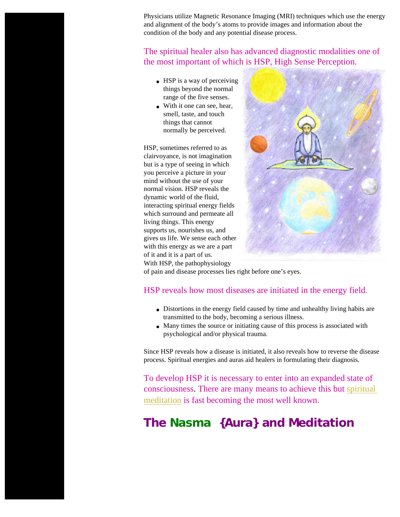Physicians utilize Magnetic Resonance Imaging (MRI) techniques which use the energy and alignment of the body's atoms to provide images and information about the condition of the body and any potential disease process.

### The spiritual healer also has advanced diagnostic modalities one of the most important of which is HSP, High Sense Perception.

- $\bullet$  HSP is a way of perceiving things beyond the normal range of the five senses.
- With it one can see, hear, smell, taste, and touch things that cannot normally be perceived.

HSP, sometimes referred to as clairvoyance, is not imagination but is a type of seeing in which you perceive a picture in your mind without the use of your normal vision. HSP reveals the dynamic world of the fluid, interacting spiritual energy fields which surround and permeate all living things. This energy supports us, nourishes us, and gives us life. We sense each other with this energy as we are a part of it and it is a part of us. With HSP, the pathophysiology



of pain and disease processes lies right before one's eyes.

### HSP reveals how most diseases are initiated in the energy field.

- Distortions in the energy field caused by time and unhealthy living habits are transmitted to the body, becoming a serious illness.
- Many times the source or initiating cause of this process is associated with psychological and/or physical trauma.

Since HSP reveals how a disease is initiated, it also reveals how to reverse the disease process. Spiritual energies and auras aid healers in formulating their diagnosis.

To develop HSP it is necessary to enter into an expanded state of consciousness. There are many means to achieve this but [spiritual](http://nurmuhammad.com/Meditation/Core/naqshbandimeditationillustration.htm) [meditation](http://nurmuhammad.com/Meditation/Core/naqshbandimeditationillustration.htm) is fast becoming the most well known.

## **The** *Nasma* **{Aura} and Meditation**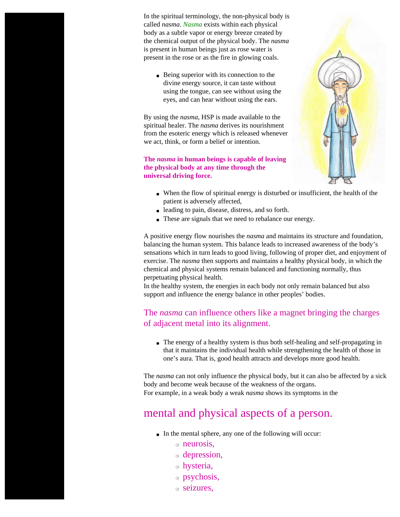In the spiritual terminology, the non-physical body is called *nasma*. *Nasma* exists within each physical body as a subtle vapor or energy breeze created by the chemical output of the physical body. The *nasma* is present in human beings just as rose water is present in the rose or as the fire in glowing coals.

• Being superior with its connection to the divine energy source, it can taste without using the tongue, can see without using the eyes, and can hear without using the ears.

By using the *nasma*, HSP is made available to the spiritual healer. The *nasma* derives its nourishment from the esoteric energy which is released whenever we act, think, or form a belief or intention.

#### **The** *nasma* **in human beings is capable of leaving the physical body at any time through the universal driving force.**

- 
- When the flow of spiritual energy is disturbed or insufficient, the health of the patient is adversely affected,
- leading to pain, disease, distress, and so forth.
- These are signals that we need to rebalance our energy.

A positive energy flow nourishes the *nasma* and maintains its structure and foundation, balancing the human system. This balance leads to increased awareness of the body's sensations which in turn leads to good living, following of proper diet, and enjoyment of exercise. The *nasma* then supports and maintains a healthy physical body, in which the chemical and physical systems remain balanced and functioning normally, thus perpetuating physical health.

In the healthy system, the energies in each body not only remain balanced but also support and influence the energy balance in other peoples' bodies.

## The *nasma* can influence others like a magnet bringing the charges of adjacent metal into its alignment.

• The energy of a healthy system is thus both self-healing and self-propagating in that it maintains the individual health while strengthening the health of those in one's aura. That is, good health attracts and develops more good health.

The *nasma* can not only influence the physical body, but it can also be affected by a sick body and become weak because of the weakness of the organs.

For example, in a weak body a weak *nasma* shows its symptoms in the

## mental and physical aspects of a person.

- In the mental sphere, any one of the following will occur:
	- ❍ neurosis,
	- ❍ depression,
	- ❍ hysteria,
	- ❍ psychosis,
	- ❍ seizures,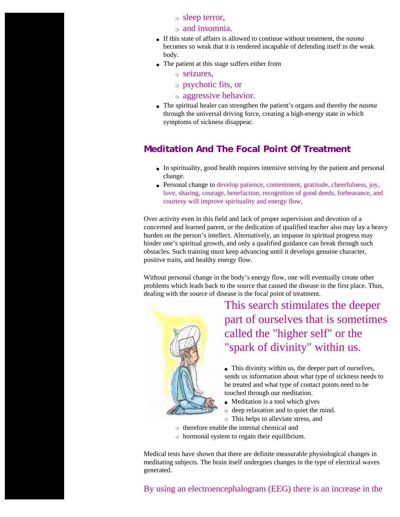- ❍ sleep terror,
- ❍ and insomnia.
- If this state of affairs is allowed to continue without treatment, the *nasma* becomes so weak that it is rendered incapable of defending itself in the weak body.
- The patient at this stage suffers either from
	- ❍ seizures,
	- ❍ psychotic fits, or
	- ❍ aggressive behavior.
- The spiritual healer can strengthen the patient's organs and thereby the *nasma* through the universal driving force, creating a high-energy state in which symptoms of sickness disappear.

### **Meditation And The Focal Point Of Treatment**

- In spirituality, good health requires intensive striving by the patient and personal change.
- Personal change to develop patience, contentment, gratitude, cheerfulness, joy, love, sharing, courage, benefaction, recognition of good deeds, forbearance, and courtesy will improve spirituality and energy flow.

Over activity even in this field and lack of proper supervision and devotion of a concerned and learned parent, or the dedication of qualified teacher also may lay a heavy burden on the person's intellect. Alternatively, an impasse in spiritual progress may hinder one's spiritual growth, and only a qualified guidance can break through such obstacles. Such training must keep advancing until it develops genuine character, positive traits, and healthy energy flow.

Without personal change in the body's energy flow, one will eventually create other problems which leads back to the source that caused the disease in the first place. Thus, dealing with the source of disease is the focal point of treatment.



This search stimulates the deeper part of ourselves that is sometimes called the "higher self" or the "spark of divinity" within us.

• This divinity within us, the deeper part of ourselves, sends us information about what type of sickness needs to be treated and what type of contact points need to be touched through our meditation.

- Meditation is a tool which gives
- $\circ$  deep relaxation and to quiet the mind.
- ❍ This helps to alleviate stress, and
- ❍ therefore enable the internal chemical and
- ❍ hormonal system to regain their equilibrium.

Medical tests have shown that there are definite measurable physiological changes in meditating subjects. The brain itself undergoes changes in the type of electrical waves generated.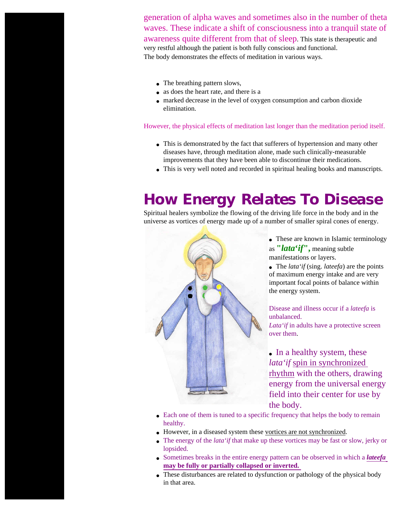generation of alpha waves and sometimes also in the number of theta waves. These indicate a shift of consciousness into a tranquil state of awareness quite different from that of sleep. This state is therapeutic and very restful although the patient is both fully conscious and functional. The body demonstrates the effects of meditation in various ways.

- The breathing pattern slows,
- as does the heart rate, and there is a
- marked decrease in the level of oxygen consumption and carbon dioxide elimination.

However, the physical effects of meditation last longer than the meditation period itself.

- This is demonstrated by the fact that sufferers of hypertension and many other diseases have, through meditation alone, made such clinically-measurable improvements that they have been able to discontinue their medications.
- This is very well noted and recorded in spiritual healing books and manuscripts.

## *How Energy Relates To Disease*

Spiritual healers symbolize the flowing of the driving life force in the body and in the universe as vortices of energy made up of a number of smaller spiral cones of energy.



• These are known in Islamic terminology as **"***lata***'***if***",** meaning subtle manifestations or layers.

● The *lata'if* (sing. *lateefa*) are the points of maximum energy intake and are very important focal points of balance within the energy system.

Disease and illness occur if a *lateefa* is unbalanced.

*Lata'if* in adults have a protective screen over them.

• In a healthy system, these *lata'if* spin in synchronized rhythm with the others, drawing energy from the universal energy field into their center for use by the body.

- Each one of them is tuned to a specific frequency that helps the body to remain healthy.
- However, in a diseased system these vortices are not synchronized.
- The energy of the *lata'if* that make up these vortices may be fast or slow, jerky or lopsided.
- Sometimes breaks in the entire energy pattern can be observed in which a *lateefa* **may be fully or partially collapsed or inverted.**
- These disturbances are related to dysfunction or pathology of the physical body in that area.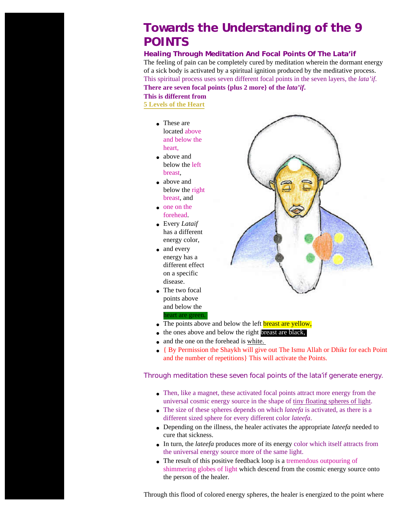## **Towards the Understanding of the 9 POINTS**

#### **Healing Through Meditation And Focal Points Of The** *Lata'if*

The feeling of pain can be completely cured by meditation wherein the dormant energy of a sick body is activated by a spiritual ignition produced by the meditative process. This spiritual process uses seven different focal points in the seven layers, the *lata'if*. **There are seven focal points {plus 2 more} of the** *lata'if***.** 

**This is different from** 

**[5 Levels of the Heart](http://nurmuhammad.com/HeartLevels/coverLataif5levelsofheart.htm)**

- These are located above and below the heart,
- above and below the left breast,
- above and below the right breast, and
- one on the forehead.
- Every *Lataif*  has a different energy color,
- and every energy has a different effect on a specific disease.
- The two focal points above and below the heart are green.



- The points above and below the left **breast are yellow**,
- the ones above and below the right breast are black,
- and the one on the forehead is white.
- { By Permission the Shaykh will give out The Ismu Allah or Dhikr for each Point and the number of repetitions} This will activate the Points.

#### Through meditation these seven focal points of the *lata'if* generate energy.

- Then, like a magnet, these activated focal points attract more energy from the universal cosmic energy source in the shape of tiny floating spheres of light.
- The size of these spheres depends on which *lateefa* is activated, as there is a different sized sphere for every different color *lateefa*.
- Depending on the illness, the healer activates the appropriate *lateefa* needed to cure that sickness.
- In turn, the *lateefa* produces more of its energy color which itself attracts from the universal energy source more of the same light.
- The result of this positive feedback loop is a tremendous outpouring of shimmering globes of light which descend from the cosmic energy source onto the person of the healer.

Through this flood of colored energy spheres, the healer is energized to the point where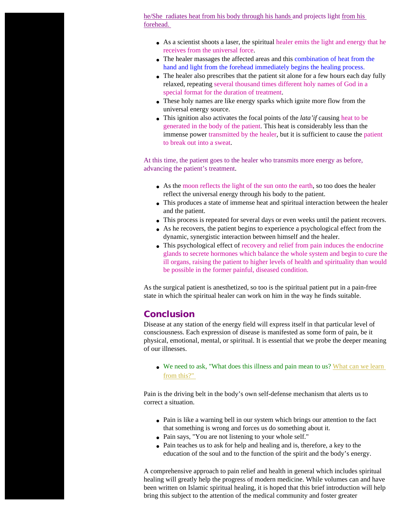he/She radiates heat from his body through his hands and projects light from his forehead.

- As a scientist shoots a laser, the spiritual healer emits the light and energy that he receives from the universal force.
- The healer massages the affected areas and this combination of heat from the hand and light from the forehead immediately begins the healing process.
- The healer also prescribes that the patient sit alone for a few hours each day fully relaxed, repeating several thousand times different holy names of God in a special format for the duration of treatment.
- These holy names are like energy sparks which ignite more flow from the universal energy source.
- This ignition also activates the focal points of the *lata'if* causing heat to be generated in the body of the patient. This heat is considerably less than the immense power transmitted by the healer, but it is sufficient to cause the patient to break out into a sweat.

At this time, the patient goes to the healer who transmits more energy as before, advancing the patient's treatment.

- As the moon reflects the light of the sun onto the earth, so too does the healer reflect the universal energy through his body to the patient.
- This produces a state of immense heat and spiritual interaction between the healer and the patient.
- This process is repeated for several days or even weeks until the patient recovers.
- As he recovers, the patient begins to experience a psychological effect from the dynamic, synergistic interaction between himself and the healer.
- This psychological effect of recovery and relief from pain induces the endocrine glands to secrete hormones which balance the whole system and begin to cure the ill organs, raising the patient to higher levels of health and spirituality than would be possible in the former painful, diseased condition.

As the surgical patient is anesthetized, so too is the spiritual patient put in a pain-free state in which the spiritual healer can work on him in the way he finds suitable.

#### **Conclusion**

Disease at any station of the energy field will express itself in that particular level of consciousness. Each expression of disease is manifested as some form of pain, be it physical, emotional, mental, or spiritual. It is essential that we probe the deeper meaning of our illnesses.

• We need to ask, "What does this illness and pain mean to us? What can we learn [from this?"](http://nurmuhammad.com/Meditation/EnergyHealing/sufigoodbadenergy.htm)

Pain is the driving belt in the body's own self-defense mechanism that alerts us to correct a situation.

- Pain is like a warning bell in our system which brings our attention to the fact that something is wrong and forces us do something about it.
- Pain says, "You are not listening to your whole self."
- Pain teaches us to ask for help and healing and is, therefore, a key to the education of the soul and to the function of the spirit and the body's energy.

A comprehensive approach to pain relief and health in general which includes spiritual healing will greatly help the progress of modern medicine. While volumes can and have been written on Islamic spiritual healing, it is hoped that this brief introduction will help bring this subject to the attention of the medical community and foster greater